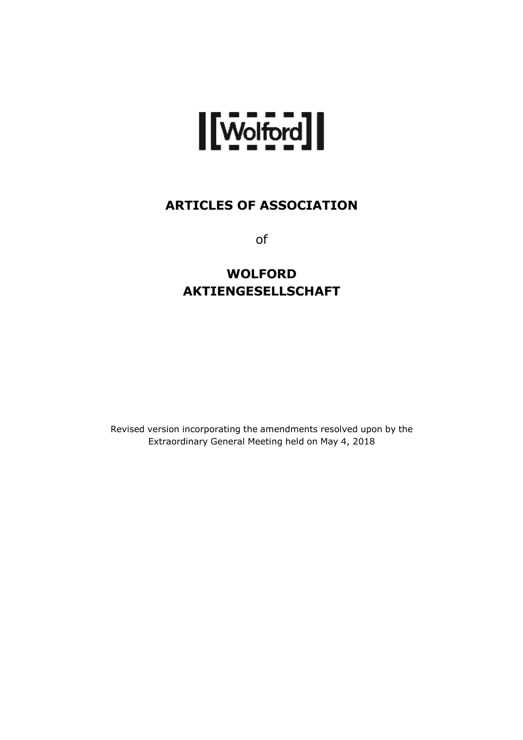

# **ARTICLES OF ASSOCIATION**

of

# **WOLFORD AKTIENGESELLSCHAFT**

Revised version incorporating the amendments resolved upon by the Extraordinary General Meeting held on May 4, 2018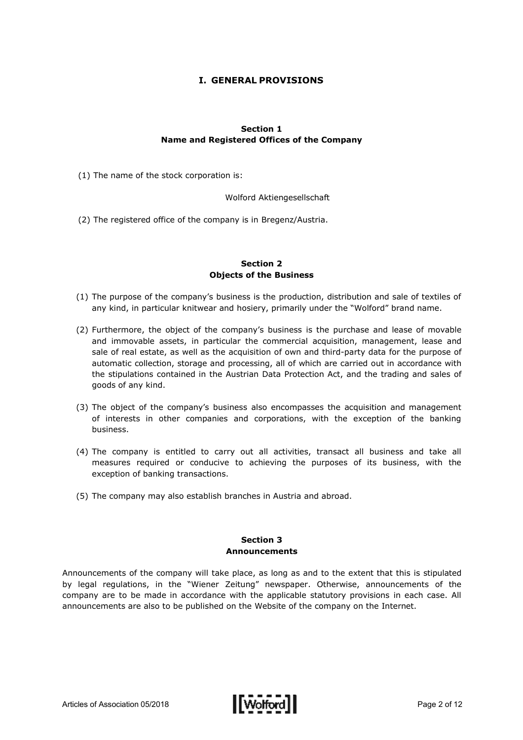# **I. GENERAL PROVISIONS**

# **Section 1 Name and Registered Offices of the Company**

(1) The name of the stock corporation is:

Wolford Aktiengesellschaft

(2) The registered office of the company is in Bregenz/Austria.

# **Section 2 Objects of the Business**

- (1) The purpose of the company's business is the production, distribution and sale of textiles of any kind, in particular knitwear and hosiery, primarily under the "Wolford" brand name.
- (2) Furthermore, the object of the company's business is the purchase and lease of movable and immovable assets, in particular the commercial acquisition, management, lease and sale of real estate, as well as the acquisition of own and third-party data for the purpose of automatic collection, storage and processing, all of which are carried out in accordance with the stipulations contained in the Austrian Data Protection Act, and the trading and sales of goods of any kind.
- (3) The object of the company's business also encompasses the acquisition and management of interests in other companies and corporations, with the exception of the banking business.
- (4) The company is entitled to carry out all activities, transact all business and take all measures required or conducive to achieving the purposes of its business, with the exception of banking transactions.
- (5) The company may also establish branches in Austria and abroad.

# **Section 3 Announcements**

Announcements of the company will take place, as long as and to the extent that this is stipulated by legal regulations, in the "Wiener Zeitung" newspaper. Otherwise, announcements of the company are to be made in accordance with the applicable statutory provisions in each case. All announcements are also to be published on the Website of the company on the Internet.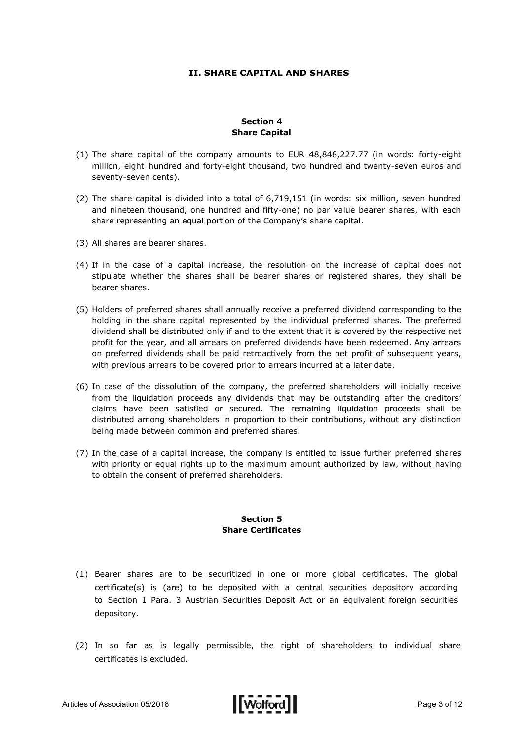# **II. SHARE CAPITAL AND SHARES**

#### **Section 4 Share Capital**

- (1) The share capital of the company amounts to EUR 48,848,227.77 (in words: forty-eight million, eight hundred and forty-eight thousand, two hundred and twenty-seven euros and seventy-seven cents).
- (2) The share capital is divided into a total of 6,719,151 (in words: six million, seven hundred and nineteen thousand, one hundred and fifty-one) no par value bearer shares, with each share representing an equal portion of the Company's share capital.
- (3) All shares are bearer shares.
- (4) If in the case of a capital increase, the resolution on the increase of capital does not stipulate whether the shares shall be bearer shares or registered shares, they shall be bearer shares.
- (5) Holders of preferred shares shall annually receive a preferred dividend corresponding to the holding in the share capital represented by the individual preferred shares. The preferred dividend shall be distributed only if and to the extent that it is covered by the respective net profit for the year, and all arrears on preferred dividends have been redeemed. Any arrears on preferred dividends shall be paid retroactively from the net profit of subsequent years, with previous arrears to be covered prior to arrears incurred at a later date.
- (6) In case of the dissolution of the company, the preferred shareholders will initially receive from the liquidation proceeds any dividends that may be outstanding after the creditors' claims have been satisfied or secured. The remaining liquidation proceeds shall be distributed among shareholders in proportion to their contributions, without any distinction being made between common and preferred shares.
- (7) In the case of a capital increase, the company is entitled to issue further preferred shares with priority or equal rights up to the maximum amount authorized by law, without having to obtain the consent of preferred shareholders.

#### **Section 5 Share Certificates**

- (1) Bearer shares are to be securitized in one or more global certificates. The global certificate(s) is (are) to be deposited with a central securities depository according to Section 1 Para. 3 Austrian Securities Deposit Act or an equivalent foreign securities depository.
- (2) In so far as is legally permissible, the right of shareholders to individual share certificates is excluded.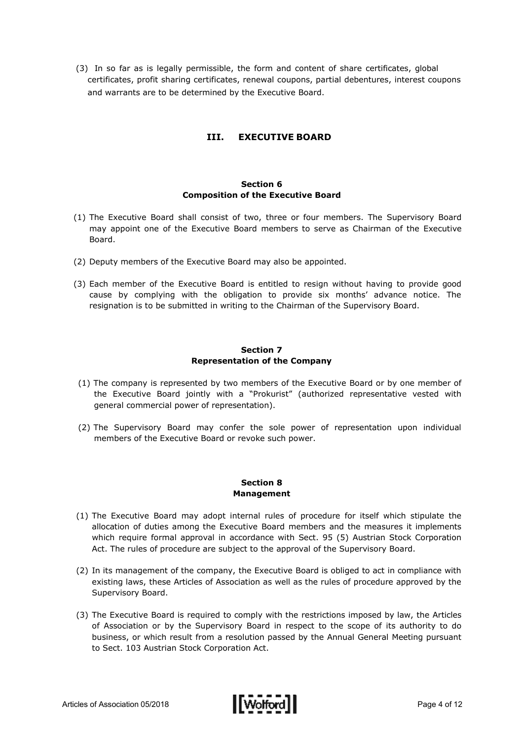(3) In so far as is legally permissible, the form and content of share certificates, global certificates, profit sharing certificates, renewal coupons, partial debentures, interest coupons and warrants are to be determined by the Executive Board.

# **III. EXECUTIVE BOARD**

# **Section 6 Composition of the Executive Board**

- (1) The Executive Board shall consist of two, three or four members. The Supervisory Board may appoint one of the Executive Board members to serve as Chairman of the Executive Board.
- (2) Deputy members of the Executive Board may also be appointed.
- (3) Each member of the Executive Board is entitled to resign without having to provide good cause by complying with the obligation to provide six months' advance notice. The resignation is to be submitted in writing to the Chairman of the Supervisory Board.

#### **Section 7 Representation of the Company**

- (1) The company is represented by two members of the Executive Board or by one member of the Executive Board jointly with a "Prokurist" (authorized representative vested with general commercial power of representation).
- (2) The Supervisory Board may confer the sole power of representation upon individual members of the Executive Board or revoke such power.

#### **Section 8 Management**

- (1) The Executive Board may adopt internal rules of procedure for itself which stipulate the allocation of duties among the Executive Board members and the measures it implements which require formal approval in accordance with Sect. 95 (5) Austrian Stock Corporation Act. The rules of procedure are subject to the approval of the Supervisory Board.
- (2) In its management of the company, the Executive Board is obliged to act in compliance with existing laws, these Articles of Association as well as the rules of procedure approved by the Supervisory Board.
- (3) The Executive Board is required to comply with the restrictions imposed by law, the Articles of Association or by the Supervisory Board in respect to the scope of its authority to do business, or which result from a resolution passed by the Annual General Meeting pursuant to Sect. 103 Austrian Stock Corporation Act.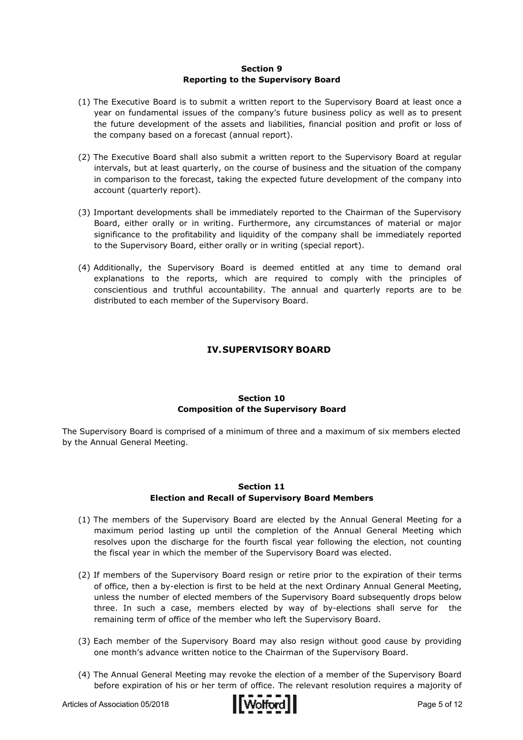#### **Section 9 Reporting to the Supervisory Board**

- (1) The Executive Board is to submit a written report to the Supervisory Board at least once a year on fundamental issues of the company's future business policy as well as to present the future development of the assets and liabilities, financial position and profit or loss of the company based on a forecast (annual report).
- (2) The Executive Board shall also submit a written report to the Supervisory Board at regular intervals, but at least quarterly, on the course of business and the situation of the company in comparison to the forecast, taking the expected future development of the company into account (quarterly report).
- (3) Important developments shall be immediately reported to the Chairman of the Supervisory Board, either orally or in writing. Furthermore, any circumstances of material or major significance to the profitability and liquidity of the company shall be immediately reported to the Supervisory Board, either orally or in writing (special report).
- (4) Additionally, the Supervisory Board is deemed entitled at any time to demand oral explanations to the reports, which are required to comply with the principles of conscientious and truthful accountability. The annual and quarterly reports are to be distributed to each member of the Supervisory Board.

# **IV.SUPERVISORY BOARD**

# **Section 10 Composition of the Supervisory Board**

The Supervisory Board is comprised of a minimum of three and a maximum of six members elected by the Annual General Meeting.

#### **Section 11 Election and Recall of Supervisory Board Members**

- (1) The members of the Supervisory Board are elected by the Annual General Meeting for a maximum period lasting up until the completion of the Annual General Meeting which resolves upon the discharge for the fourth fiscal year following the election, not counting the fiscal year in which the member of the Supervisory Board was elected.
- (2) If members of the Supervisory Board resign or retire prior to the expiration of their terms of office, then a by-election is first to be held at the next Ordinary Annual General Meeting, unless the number of elected members of the Supervisory Board subsequently drops below three. In such a case, members elected by way of by-elections shall serve for the remaining term of office of the member who left the Supervisory Board.
- (3) Each member of the Supervisory Board may also resign without good cause by providing one month's advance written notice to the Chairman of the Supervisory Board.
- (4) The Annual General Meeting may revoke the election of a member of the Supervisory Board before expiration of his or her term of office. The relevant resolution requires a majority of

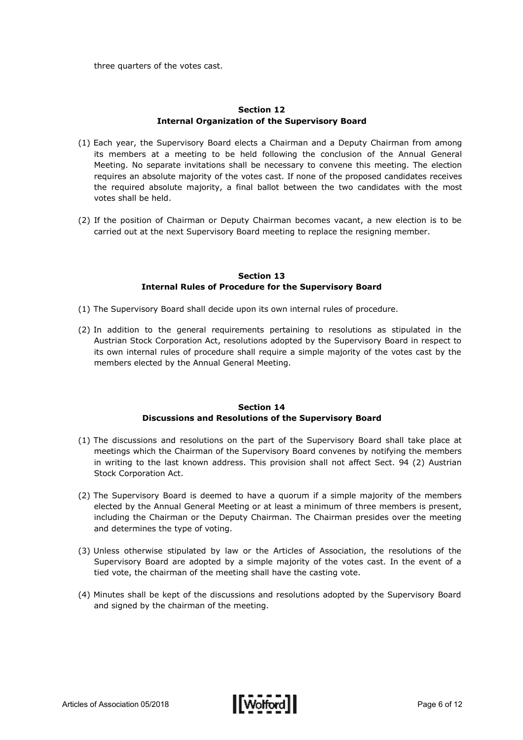three quarters of the votes cast.

# **Section 12 Internal Organization of the Supervisory Board**

- (1) Each year, the Supervisory Board elects a Chairman and a Deputy Chairman from among its members at a meeting to be held following the conclusion of the Annual General Meeting. No separate invitations shall be necessary to convene this meeting. The election requires an absolute majority of the votes cast. If none of the proposed candidates receives the required absolute majority, a final ballot between the two candidates with the most votes shall be held.
- (2) If the position of Chairman or Deputy Chairman becomes vacant, a new election is to be carried out at the next Supervisory Board meeting to replace the resigning member.

#### **Section 13 Internal Rules of Procedure for the Supervisory Board**

- (1) The Supervisory Board shall decide upon its own internal rules of procedure.
- (2) In addition to the general requirements pertaining to resolutions as stipulated in the Austrian Stock Corporation Act, resolutions adopted by the Supervisory Board in respect to its own internal rules of procedure shall require a simple majority of the votes cast by the members elected by the Annual General Meeting.

#### **Section 14 Discussions and Resolutions of the Supervisory Board**

- (1) The discussions and resolutions on the part of the Supervisory Board shall take place at meetings which the Chairman of the Supervisory Board convenes by notifying the members in writing to the last known address. This provision shall not affect Sect. 94 (2) Austrian Stock Corporation Act.
- (2) The Supervisory Board is deemed to have a quorum if a simple majority of the members elected by the Annual General Meeting or at least a minimum of three members is present, including the Chairman or the Deputy Chairman. The Chairman presides over the meeting and determines the type of voting.
- (3) Unless otherwise stipulated by law or the Articles of Association, the resolutions of the Supervisory Board are adopted by a simple majority of the votes cast. In the event of a tied vote, the chairman of the meeting shall have the casting vote.
- (4) Minutes shall be kept of the discussions and resolutions adopted by the Supervisory Board and signed by the chairman of the meeting.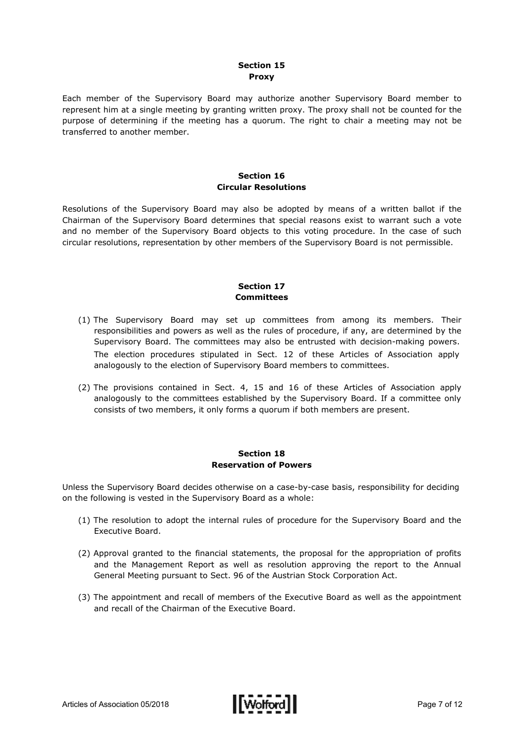#### **Section 15 Proxy**

Each member of the Supervisory Board may authorize another Supervisory Board member to represent him at a single meeting by granting written proxy. The proxy shall not be counted for the purpose of determining if the meeting has a quorum. The right to chair a meeting may not be transferred to another member.

#### **Section 16 Circular Resolutions**

Resolutions of the Supervisory Board may also be adopted by means of a written ballot if the Chairman of the Supervisory Board determines that special reasons exist to warrant such a vote and no member of the Supervisory Board objects to this voting procedure. In the case of such circular resolutions, representation by other members of the Supervisory Board is not permissible.

# **Section 17 Committees**

- (1) The Supervisory Board may set up committees from among its members. Their responsibilities and powers as well as the rules of procedure, if any, are determined by the Supervisory Board. The committees may also be entrusted with decision-making powers. The election procedures stipulated in Sect. 12 of these Articles of Association apply analogously to the election of Supervisory Board members to committees.
- (2) The provisions contained in Sect. 4, 15 and 16 of these Articles of Association apply analogously to the committees established by the Supervisory Board. If a committee only consists of two members, it only forms a quorum if both members are present.

#### **Section 18 Reservation of Powers**

Unless the Supervisory Board decides otherwise on a case-by-case basis, responsibility for deciding on the following is vested in the Supervisory Board as a whole:

- (1) The resolution to adopt the internal rules of procedure for the Supervisory Board and the Executive Board.
- (2) Approval granted to the financial statements, the proposal for the appropriation of profits and the Management Report as well as resolution approving the report to the Annual General Meeting pursuant to Sect. 96 of the Austrian Stock Corporation Act.
- (3) The appointment and recall of members of the Executive Board as well as the appointment and recall of the Chairman of the Executive Board.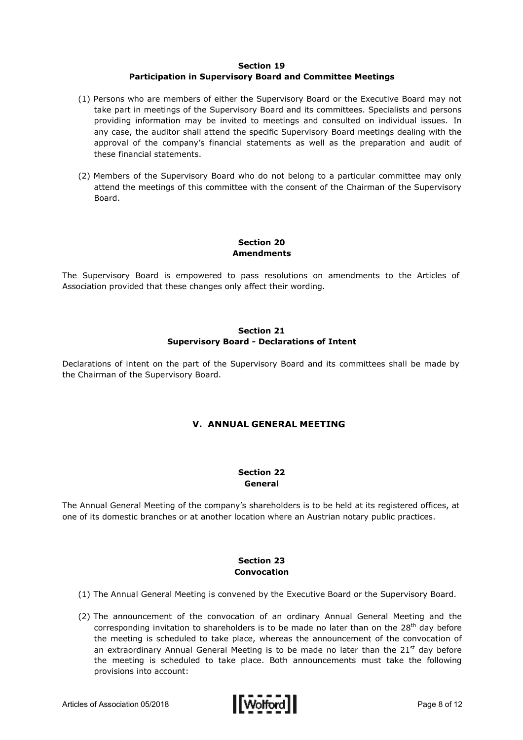#### **Section 19**

# **Participation in Supervisory Board and Committee Meetings**

- (1) Persons who are members of either the Supervisory Board or the Executive Board may not take part in meetings of the Supervisory Board and its committees. Specialists and persons providing information may be invited to meetings and consulted on individual issues. In any case, the auditor shall attend the specific Supervisory Board meetings dealing with the approval of the company's financial statements as well as the preparation and audit of these financial statements.
- (2) Members of the Supervisory Board who do not belong to a particular committee may only attend the meetings of this committee with the consent of the Chairman of the Supervisory Board.

# **Section 20 Amendments**

The Supervisory Board is empowered to pass resolutions on amendments to the Articles of Association provided that these changes only affect their wording.

# **Section 21 Supervisory Board - Declarations of Intent**

Declarations of intent on the part of the Supervisory Board and its committees shall be made by the Chairman of the Supervisory Board.

# **V. ANNUAL GENERAL MEETING**

#### **Section 22 General**

The Annual General Meeting of the company's shareholders is to be held at its registered offices, at one of its domestic branches or at another location where an Austrian notary public practices.

# **Section 23 Convocation**

- (1) The Annual General Meeting is convened by the Executive Board or the Supervisory Board.
- (2) The announcement of the convocation of an ordinary Annual General Meeting and the corresponding invitation to shareholders is to be made no later than on the 28<sup>th</sup> day before the meeting is scheduled to take place, whereas the announcement of the convocation of an extraordinary Annual General Meeting is to be made no later than the  $21<sup>st</sup>$  day before the meeting is scheduled to take place. Both announcements must take the following provisions into account:

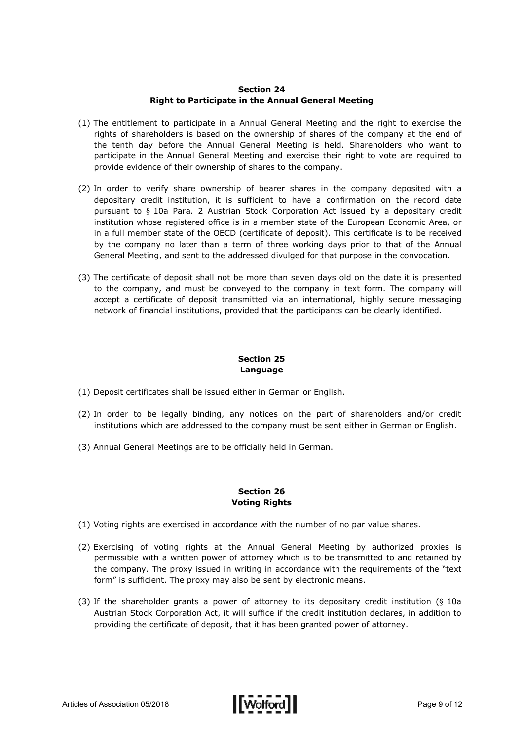#### **Section 24 Right to Participate in the Annual General Meeting**

- (1) The entitlement to participate in a Annual General Meeting and the right to exercise the rights of shareholders is based on the ownership of shares of the company at the end of the tenth day before the Annual General Meeting is held. Shareholders who want to participate in the Annual General Meeting and exercise their right to vote are required to provide evidence of their ownership of shares to the company.
- (2) In order to verify share ownership of bearer shares in the company deposited with a depositary credit institution, it is sufficient to have a confirmation on the record date pursuant to § 10a Para. 2 Austrian Stock Corporation Act issued by a depositary credit institution whose registered office is in a member state of the European Economic Area, or in a full member state of the OECD (certificate of deposit). This certificate is to be received by the company no later than a term of three working days prior to that of the Annual General Meeting, and sent to the addressed divulged for that purpose in the convocation.
- (3) The certificate of deposit shall not be more than seven days old on the date it is presented to the company, and must be conveyed to the company in text form. The company will accept a certificate of deposit transmitted via an international, highly secure messaging network of financial institutions, provided that the participants can be clearly identified.

# **Section 25 Language**

- (1) Deposit certificates shall be issued either in German or English.
- (2) In order to be legally binding, any notices on the part of shareholders and/or credit institutions which are addressed to the company must be sent either in German or English.
- (3) Annual General Meetings are to be officially held in German.

#### **Section 26 Voting Rights**

- (1) Voting rights are exercised in accordance with the number of no par value shares.
- (2) Exercising of voting rights at the Annual General Meeting by authorized proxies is permissible with a written power of attorney which is to be transmitted to and retained by the company. The proxy issued in writing in accordance with the requirements of the "text form" is sufficient. The proxy may also be sent by electronic means.
- (3) If the shareholder grants a power of attorney to its depositary credit institution (§ 10a Austrian Stock Corporation Act, it will suffice if the credit institution declares, in addition to providing the certificate of deposit, that it has been granted power of attorney.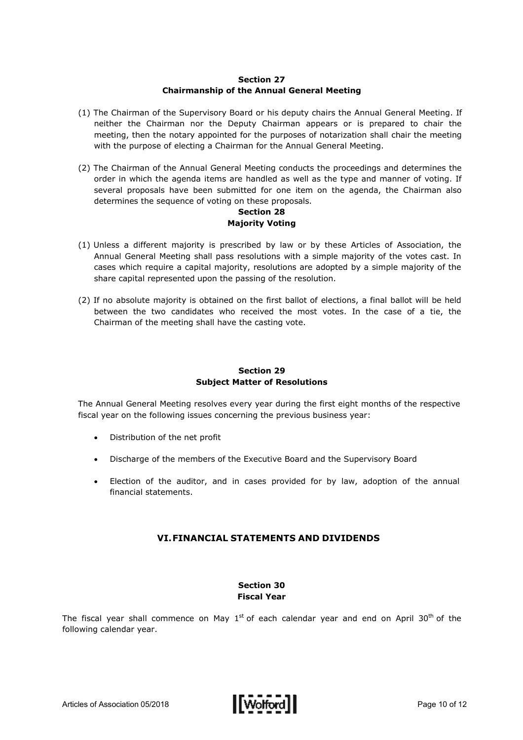# **Section 27 Chairmanship of the Annual General Meeting**

- (1) The Chairman of the Supervisory Board or his deputy chairs the Annual General Meeting. If neither the Chairman nor the Deputy Chairman appears or is prepared to chair the meeting, then the notary appointed for the purposes of notarization shall chair the meeting with the purpose of electing a Chairman for the Annual General Meeting.
- (2) The Chairman of the Annual General Meeting conducts the proceedings and determines the order in which the agenda items are handled as well as the type and manner of voting. If several proposals have been submitted for one item on the agenda, the Chairman also determines the sequence of voting on these proposals.

#### **Section 28 Majority Voting**

- (1) Unless a different majority is prescribed by law or by these Articles of Association, the Annual General Meeting shall pass resolutions with a simple majority of the votes cast. In cases which require a capital majority, resolutions are adopted by a simple majority of the share capital represented upon the passing of the resolution.
- (2) If no absolute majority is obtained on the first ballot of elections, a final ballot will be held between the two candidates who received the most votes. In the case of a tie, the Chairman of the meeting shall have the casting vote.

# **Section 29 Subject Matter of Resolutions**

The Annual General Meeting resolves every year during the first eight months of the respective fiscal year on the following issues concerning the previous business year:

- Distribution of the net profit
- Discharge of the members of the Executive Board and the Supervisory Board
- Election of the auditor, and in cases provided for by law, adoption of the annual financial statements.

# **VI.FINANCIAL STATEMENTS AND DIVIDENDS**

#### **Section 30 Fiscal Year**

The fiscal year shall commence on May  $1^{st}$  of each calendar year and end on April 30<sup>th</sup> of the following calendar year.